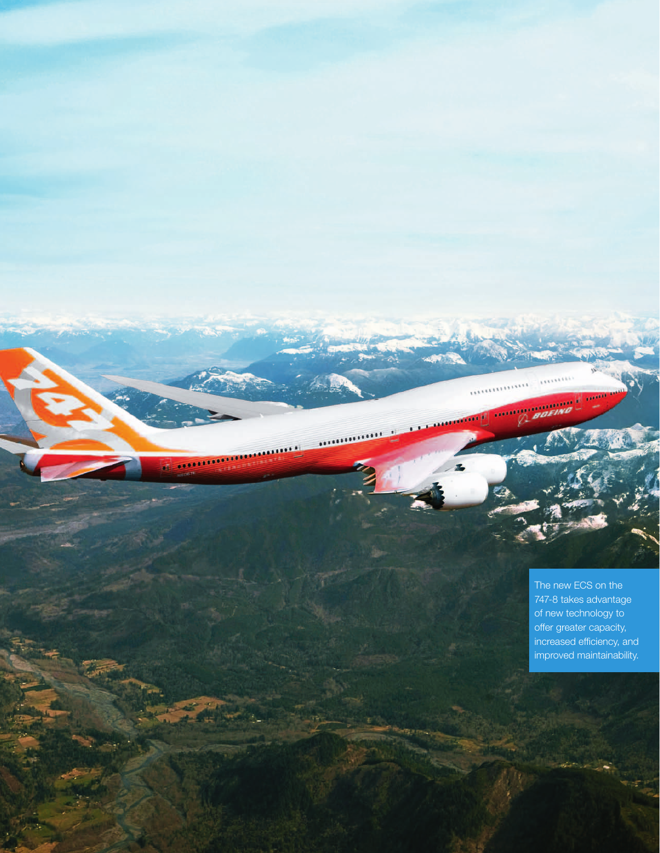The new ECS on the 747-8 takes advantage of new technology to offer greater capacity, increased efficiency, and improved maintainability.

233521

أأستعدد

...........

.......

,,,,,,,,,,,,,

18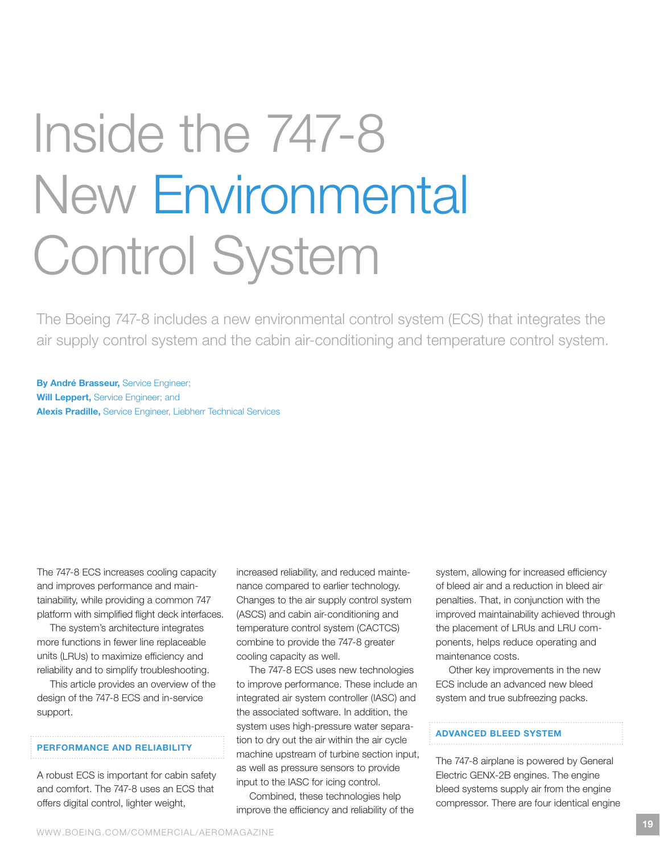# Inside the 747-8 New Environmental Control System

The Boeing 747-8 includes a new environmental control system (ECS) that integrates the air supply control system and the cabin air-conditioning and temperature control system.

By André Brasseur, Service Engineer; Will Leppert, Service Engineer; and Alexis Pradille, Service Engineer, Liebherr Technical Services

The 747-8 ECS increases cooling capacity and improves performance and maintainability, while providing a common 747 platform with simplified flight deck interfaces.

The system's architecture integrates more functions in fewer line replaceable units (LRUs) to maximize efficiency and reliability and to simplify troubleshooting.

This article provides an overview of the design of the 747-8 ECS and in-service support.

# Performance and reliability

A robust ECS is important for cabin safety and comfort. The 747-8 uses an ECS that offers digital control, lighter weight,

increased reliability, and reduced maintenance compared to earlier technology. Changes to the air supply control system (ASCS) and cabin air-conditioning and temperature control system (CACTCS) combine to provide the 747-8 greater cooling capacity as well.

The 747-8 ECS uses new technologies to improve performance. These include an integrated air system controller (IASC) and the associated software. In addition, the system uses high-pressure water separation to dry out the air within the air cycle machine upstream of turbine section input, as well as pressure sensors to provide input to the IASC for icing control.

Combined, these technologies help improve the efficiency and reliability of the system, allowing for increased efficiency of bleed air and a reduction in bleed air penalties. That, in conjunction with the improved maintainability achieved through the placement of LRUs and LRU components, helps reduce operating and maintenance costs.

Other key improvements in the new ECS include an advanced new bleed system and true subfreezing packs.

# Advanced bleed system

The 747-8 airplane is powered by General Electric GENX-2B engines. The engine bleed systems supply air from the engine compressor. There are four identical engine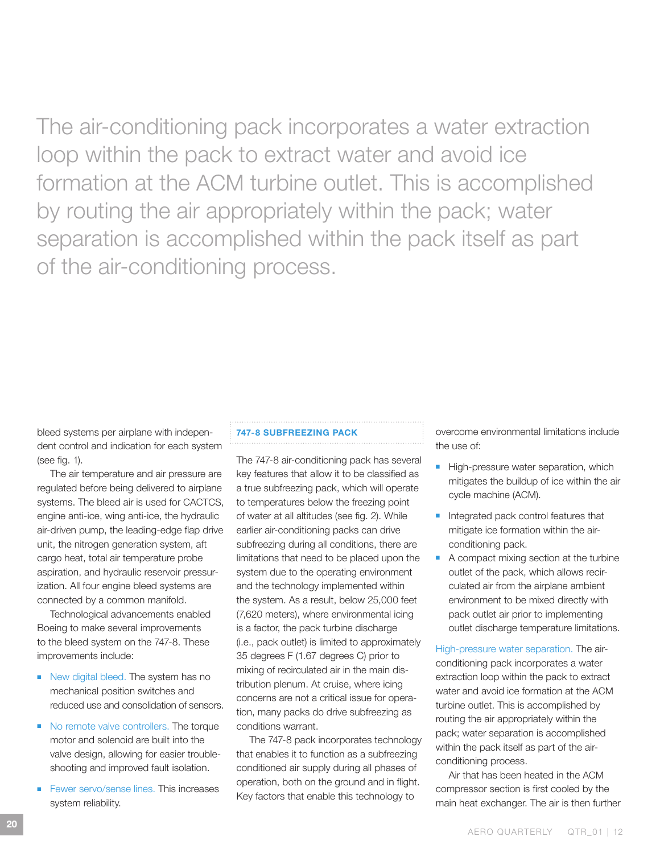The air-conditioning pack incorporates a water extraction loop within the pack to extract water and avoid ice formation at the ACM turbine outlet. This is accomplished by routing the air appropriately within the pack; water separation is accomplished within the pack itself as part of the air-conditioning process.

bleed systems per airplane with independent control and indication for each system (see fig. 1).

The air temperature and air pressure are regulated before being delivered to airplane systems. The bleed air is used for CACTCS, engine anti-ice, wing anti-ice, the hydraulic air-driven pump, the leading-edge flap drive unit, the nitrogen generation system, aft cargo heat, total air temperature probe aspiration, and hydraulic reservoir pressurization. All four engine bleed systems are connected by a common manifold.

Technological advancements enabled Boeing to make several improvements to the bleed system on the 747-8. These improvements include:

- New digital bleed. The system has no mechanical position switches and reduced use and consolidation of sensors.
- No remote valve controllers. The torque motor and solenoid are built into the valve design, allowing for easier troubleshooting and improved fault isolation.
- Fewer servo/sense lines. This increases system reliability.

## 747-8 subfreezing pack

The 747-8 air-conditioning pack has several key features that allow it to be classified as a true subfreezing pack, which will operate to temperatures below the freezing point of water at all altitudes (see fig. 2). While earlier air-conditioning packs can drive subfreezing during all conditions, there are limitations that need to be placed upon the system due to the operating environment and the technology implemented within the system. As a result, below 25,000 feet (7,620 meters), where environmental icing is a factor, the pack turbine discharge (i.e., pack outlet) is limited to approximately 35 degrees F (1.67 degrees C) prior to mixing of recirculated air in the main distribution plenum. At cruise, where icing concerns are not a critical issue for operation, many packs do drive subfreezing as conditions warrant.

The 747-8 pack incorporates technology that enables it to function as a subfreezing conditioned air supply during all phases of operation, both on the ground and in flight. Key factors that enable this technology to

overcome environmental limitations include the use of:

- High-pressure water separation, which mitigates the buildup of ice within the air cycle machine (ACM).
- Integrated pack control features that mitigate ice formation within the airconditioning pack.
- A compact mixing section at the turbine outlet of the pack, which allows recirculated air from the airplane ambient environment to be mixed directly with pack outlet air prior to implementing outlet discharge temperature limitations.

High-pressure water separation. The airconditioning pack incorporates a water extraction loop within the pack to extract water and avoid ice formation at the ACM turbine outlet. This is accomplished by routing the air appropriately within the pack; water separation is accomplished within the pack itself as part of the airconditioning process.

Air that has been heated in the ACM compressor section is first cooled by the main heat exchanger. The air is then further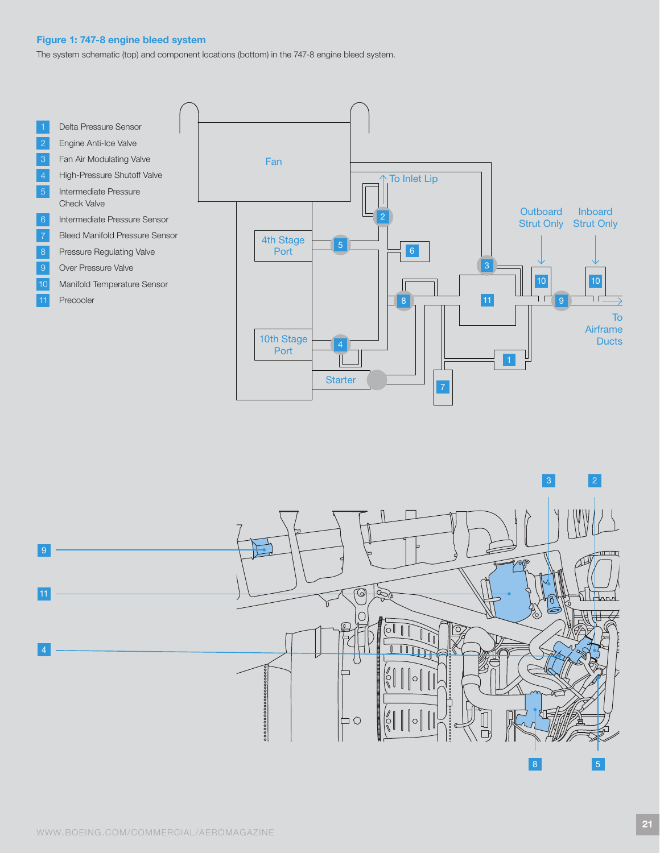## Figure 1: 747-8 engine bleed system

The system schematic (top) and component locations (bottom) in the 747-8 engine bleed system.



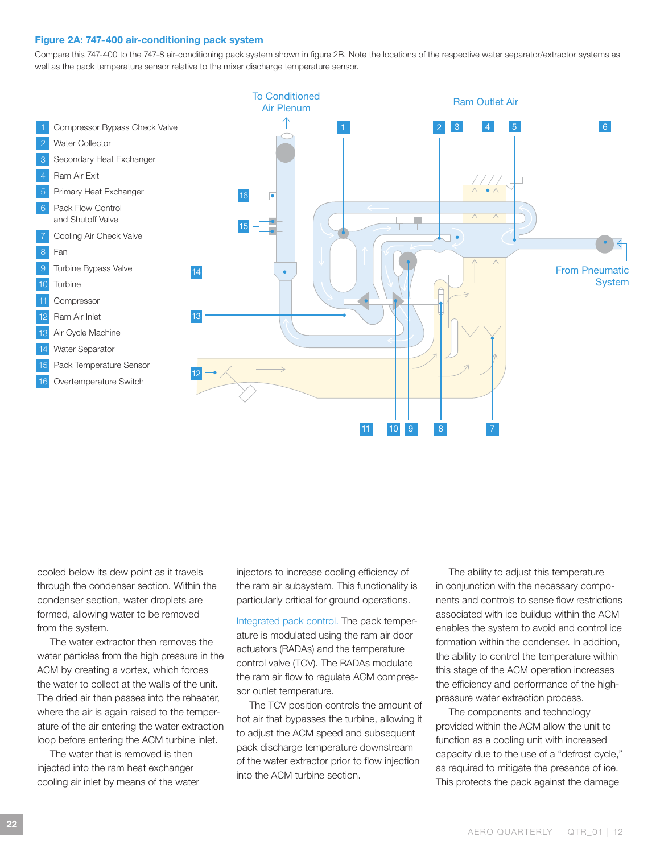#### Figure 2A: 747-400 air-conditioning pack system

Compare this 747-400 to the 747-8 air-conditioning pack system shown in figure 2B. Note the locations of the respective water separator/extractor systems as well as the pack temperature sensor relative to the mixer discharge temperature sensor.



cooled below its dew point as it travels through the condenser section. Within the condenser section, water droplets are formed, allowing water to be removed from the system.

The water extractor then removes the water particles from the high pressure in the ACM by creating a vortex, which forces the water to collect at the walls of the unit. The dried air then passes into the reheater, where the air is again raised to the temperature of the air entering the water extraction loop before entering the ACM turbine inlet.

The water that is removed is then injected into the ram heat exchanger cooling air inlet by means of the water injectors to increase cooling efficiency of the ram air subsystem. This functionality is particularly critical for ground operations.

Integrated pack control. The pack temperature is modulated using the ram air door actuators (RADAs) and the temperature control valve (TCV). The RADAs modulate the ram air flow to regulate ACM compressor outlet temperature.

The TCV position controls the amount of hot air that bypasses the turbine, allowing it to adjust the ACM speed and subsequent pack discharge temperature downstream of the water extractor prior to flow injection into the ACM turbine section.

The ability to adjust this temperature in conjunction with the necessary components and controls to sense flow restrictions associated with ice buildup within the ACM enables the system to avoid and control ice formation within the condenser. In addition, the ability to control the temperature within this stage of the ACM operation increases the efficiency and performance of the highpressure water extraction process.

The components and technology provided within the ACM allow the unit to function as a cooling unit with increased capacity due to the use of a "defrost cycle," as required to mitigate the presence of ice. This protects the pack against the damage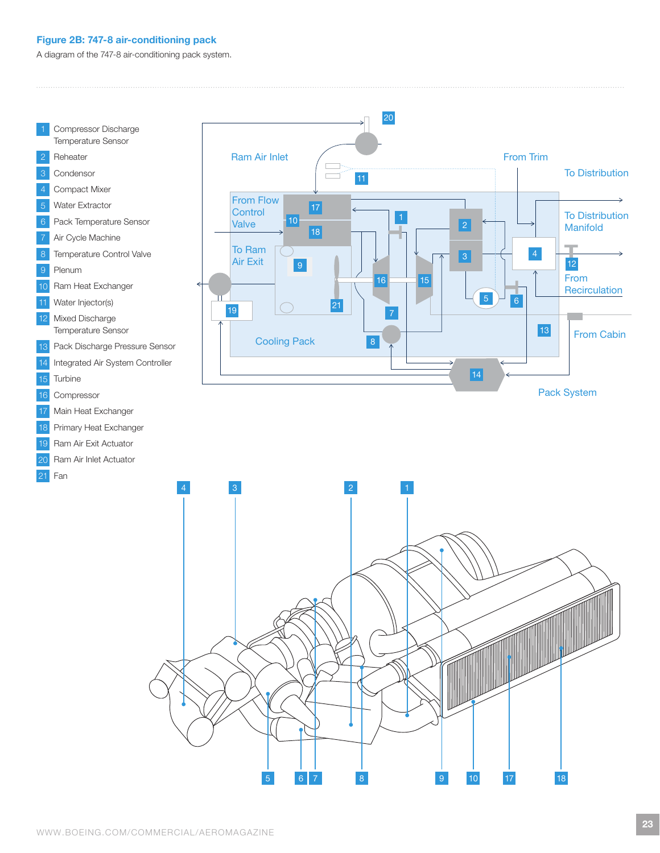## Figure 2B: 747-8 air-conditioning pack

A diagram of the 747-8 air-conditioning pack system.



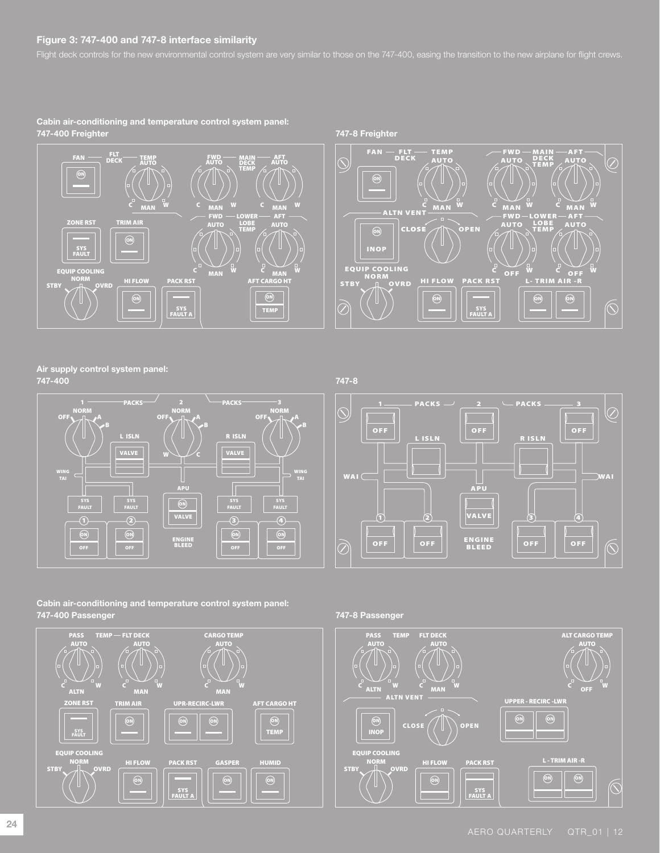## Figure 3: 747-400 and 747-8 interface similarity

Cabin air-conditioning and temperature control system panel: 747-400 Freighter 747-8 Freighter





Air supply control system panel: 747-400 747-8





Cabin air-conditioning and temperature control system panel: 747-400 Passenger 747-8 Passenger